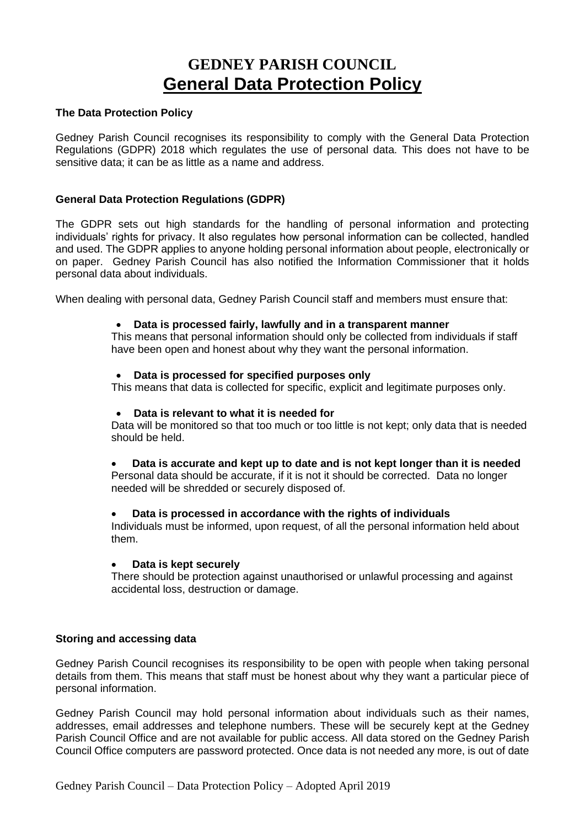# **GEDNEY PARISH COUNCIL General Data Protection Policy**

## **The Data Protection Policy**

Gedney Parish Council recognises its responsibility to comply with the General Data Protection Regulations (GDPR) 2018 which regulates the use of personal data. This does not have to be sensitive data; it can be as little as a name and address.

# **General Data Protection Regulations (GDPR)**

The GDPR sets out high standards for the handling of personal information and protecting individuals' rights for privacy. It also regulates how personal information can be collected, handled and used. The GDPR applies to anyone holding personal information about people, electronically or on paper. Gedney Parish Council has also notified the Information Commissioner that it holds personal data about individuals.

When dealing with personal data, Gedney Parish Council staff and members must ensure that:

## • **Data is processed fairly, lawfully and in a transparent manner**

This means that personal information should only be collected from individuals if staff have been open and honest about why they want the personal information.

#### • **Data is processed for specified purposes only**

This means that data is collected for specific, explicit and legitimate purposes only.

#### • **Data is relevant to what it is needed for**

Data will be monitored so that too much or too little is not kept; only data that is needed should be held.

• **Data is accurate and kept up to date and is not kept longer than it is needed** Personal data should be accurate, if it is not it should be corrected. Data no longer needed will be shredded or securely disposed of.

#### • **Data is processed in accordance with the rights of individuals**

Individuals must be informed, upon request, of all the personal information held about them.

#### • **Data is kept securely**

There should be protection against unauthorised or unlawful processing and against accidental loss, destruction or damage.

## **Storing and accessing data**

Gedney Parish Council recognises its responsibility to be open with people when taking personal details from them. This means that staff must be honest about why they want a particular piece of personal information.

Gedney Parish Council may hold personal information about individuals such as their names, addresses, email addresses and telephone numbers. These will be securely kept at the Gedney Parish Council Office and are not available for public access. All data stored on the Gedney Parish Council Office computers are password protected. Once data is not needed any more, is out of date